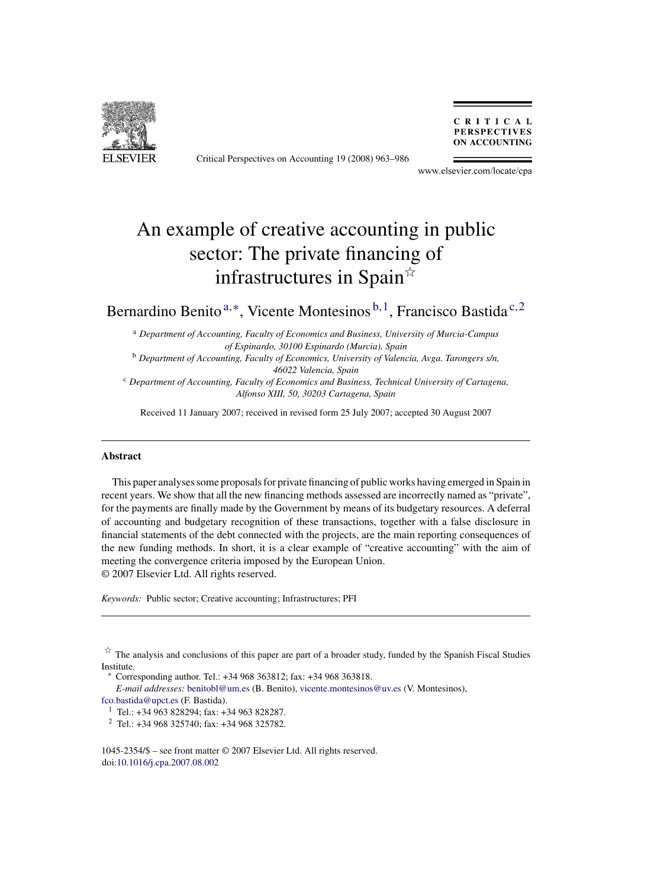

Critical Perspectives on Accounting 19 (2008) 963–986

CRITICAL **PERSPECTIVES ON ACCOUNTING** 

www.elsevier.com/locate/cpa

## An example of creative accounting in public sector: The private financing of infrastructures in Spain $\overline{x}$

Bernardino Benito  $a^*$ , Vicente Montesinos  $b^1$ , Francisco Bastida<sup>c, 2</sup>

<sup>a</sup> *Department of Accounting, Faculty of Economics and Business, University of Murcia-Campus of Espinardo, 30100 Espinardo (Murcia), Spain*

<sup>b</sup> *Department of Accounting, Faculty of Economics, University of Valencia, Avga. Tarongers s/n, 46022 Valencia, Spain*

<sup>c</sup> *Department of Accounting, Faculty of Economics and Business, Technical University of Cartagena, Alfonso XIII, 50, 30203 Cartagena, Spain*

Received 11 January 2007; received in revised form 25 July 2007; accepted 30 August 2007

## **Abstract**

This paper analyses some proposals for private financing of public works having emerged in Spain in recent years. We show that all the new financing methods assessed are incorrectly named as "private", for the payments are finally made by the Government by means of its budgetary resources. A deferral of accounting and budgetary recognition of these transactions, together with a false disclosure in financial statements of the debt connected with the projects, are the main reporting consequences of the new funding methods. In short, it is a clear example of "creative accounting" with the aim of meeting the convergence criteria imposed by the European Union. © 2007 Elsevier Ltd. All rights reserved.

*Keywords:* Public sector; Creative accounting; Infrastructures; PFI

 $\overrightarrow{r}$  The analysis and conclusions of this paper are part of a broader study, funded by the Spanish Fiscal Studies Institute.

<sup>∗</sup> Corresponding author. Tel.: +34 968 363812; fax: +34 968 363818.

*E-mail addresses:* [benitobl@um.es](mailto:benitobl@um.es) (B. Benito), [vicente.montesinos@uv.es](mailto:vicente.montesinos@uv.es) (V. Montesinos), [fco.bastida@upct.es](mailto:fco.bastida@upct.es) (F. Bastida).

<sup>1</sup> Tel.: +34 963 828294; fax: +34 963 828287.

<sup>&</sup>lt;sup>2</sup> Tel.:  $+34968325740$ ; fax:  $+34968325782$ .

<sup>1045-2354/\$ –</sup> see front matter © 2007 Elsevier Ltd. All rights reserved. doi:[10.1016/j.cpa.2007.08.002](dx.doi.org/10.1016/j.cpa.2007.08.002)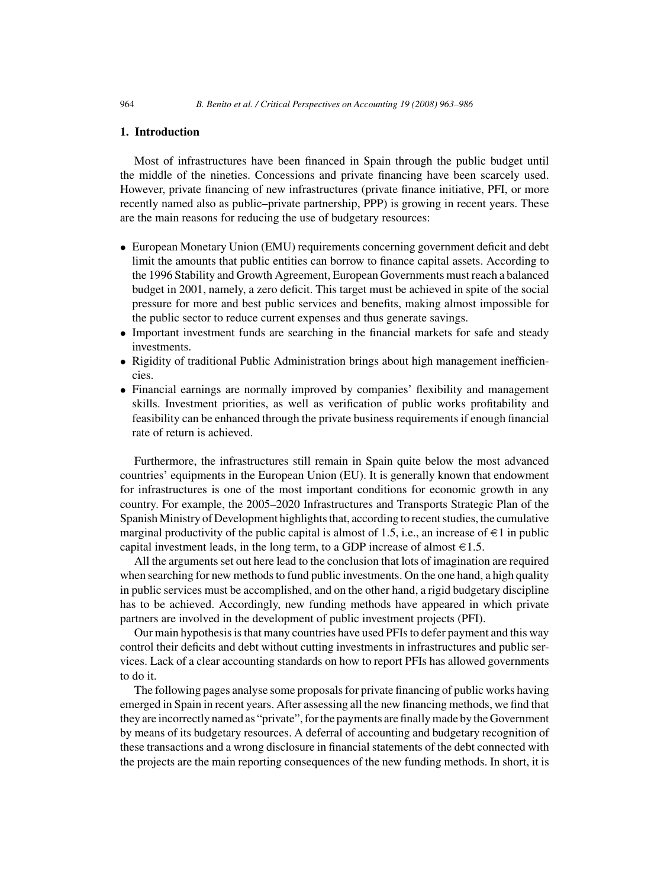## **1. Introduction**

Most of infrastructures have been financed in Spain through the public budget until the middle of the nineties. Concessions and private financing have been scarcely used. However, private financing of new infrastructures (private finance initiative, PFI, or more recently named also as public–private partnership, PPP) is growing in recent years. These are the main reasons for reducing the use of budgetary resources:

- European Monetary Union (EMU) requirements concerning government deficit and debt limit the amounts that public entities can borrow to finance capital assets. According to the 1996 Stability and Growth Agreement, European Governments must reach a balanced budget in 2001, namely, a zero deficit. This target must be achieved in spite of the social pressure for more and best public services and benefits, making almost impossible for the public sector to reduce current expenses and thus generate savings.
- Important investment funds are searching in the financial markets for safe and steady investments.
- Rigidity of traditional Public Administration brings about high management inefficiencies.
- Financial earnings are normally improved by companies' flexibility and management skills. Investment priorities, as well as verification of public works profitability and feasibility can be enhanced through the private business requirements if enough financial rate of return is achieved.

Furthermore, the infrastructures still remain in Spain quite below the most advanced countries' equipments in the European Union (EU). It is generally known that endowment for infrastructures is one of the most important conditions for economic growth in any country. For example, the 2005–2020 Infrastructures and Transports Strategic Plan of the Spanish Ministry of Development highlights that, according to recent studies, the cumulative marginal productivity of the public capital is almost of 1.5, i.e., an increase of  $\in$  1 in public capital investment leads, in the long term, to a GDP increase of almost  $\in$  1.5.

All the arguments set out here lead to the conclusion that lots of imagination are required when searching for new methods to fund public investments. On the one hand, a high quality in public services must be accomplished, and on the other hand, a rigid budgetary discipline has to be achieved. Accordingly, new funding methods have appeared in which private partners are involved in the development of public investment projects (PFI).

Our main hypothesis is that many countries have used PFIs to defer payment and this way control their deficits and debt without cutting investments in infrastructures and public services. Lack of a clear accounting standards on how to report PFIs has allowed governments to do it.

The following pages analyse some proposals for private financing of public works having emerged in Spain in recent years. After assessing all the new financing methods, we find that they are incorrectly named as "private", for the payments are finally made by the Government by means of its budgetary resources. A deferral of accounting and budgetary recognition of these transactions and a wrong disclosure in financial statements of the debt connected with the projects are the main reporting consequences of the new funding methods. In short, it is